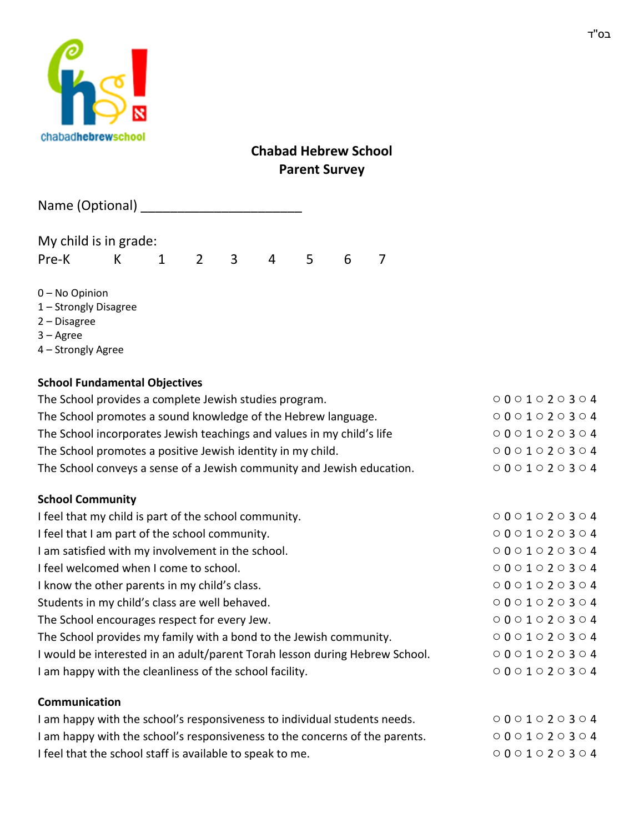

## **Chabad Hebrew School Parent Survey**

| Name (Optional) |
|-----------------|
|                 |

My child is in grade: Pre-K K 1 2 3 4 5 6 7

0 – No Opinion

- 1 Strongly Disagree
- 2 Disagree
- 3 Agree
- 4 Strongly Agree

## **School Fundamental Objectives**

| The School provides a complete Jewish studies program.                      | 0001020304                                |
|-----------------------------------------------------------------------------|-------------------------------------------|
| The School promotes a sound knowledge of the Hebrew language.               | 0001020304                                |
| The School incorporates Jewish teachings and values in my child's life      | 0001020304                                |
| The School promotes a positive Jewish identity in my child.                 | 0001020304                                |
| The School conveys a sense of a Jewish community and Jewish education.      | 0001020304                                |
| <b>School Community</b>                                                     |                                           |
| I feel that my child is part of the school community.                       | 0001020304                                |
| I feel that I am part of the school community.                              | $\circ 0 \circ 1 \circ 2 \circ 3 \circ 4$ |
| I am satisfied with my involvement in the school.                           | 0001020304                                |
| I feel welcomed when I come to school.                                      | $0001020304$                              |
| I know the other parents in my child's class.                               | 0001020304                                |
| Students in my child's class are well behaved.                              | $\circ 0 \circ 1 \circ 2 \circ 3 \circ 4$ |
| The School encourages respect for every Jew.                                | $0001020304$                              |
| The School provides my family with a bond to the Jewish community.          | 0001020304                                |
| I would be interested in an adult/parent Torah lesson during Hebrew School. | 0001020304                                |
| I am happy with the cleanliness of the school facility.                     | 0001020304                                |
| Communication                                                               |                                           |

| $\circ$ 0 0 0 1 $\circ$ 2 $\circ$ 3 $\circ$ 4 |
|-----------------------------------------------|
| $\circ$ 0 0 0 1 $\circ$ 2 $\circ$ 3 $\circ$ 4 |
| $\circ$ 0 0 0 1 $\circ$ 2 $\circ$ 3 $\circ$ 4 |
|                                               |